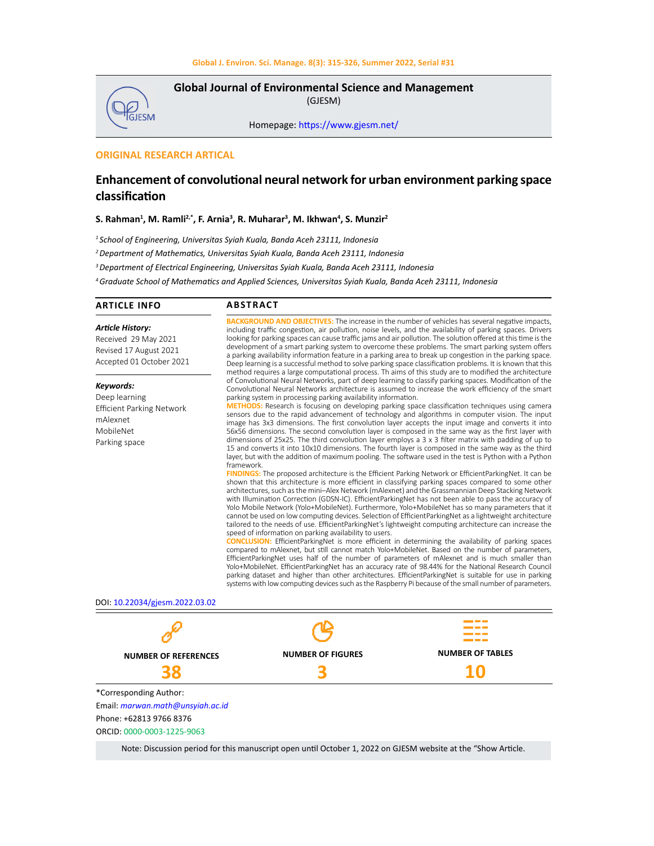

**Global Journal of Environmental Science and Management**  (GJESM)

Homepage: [https://www.gjesm.net/](https://www.gjesm.net/ )

# **ORIGINAL RESEARCH ARTICAL**

# **Enhancement of convolutional neural network for urban environment parking space classification**

**S. Rahman1 , M. Ramli2,\*, F. Arnia3 , R. Muharar3 , M. Ikhwan<sup>4</sup> , S. Munzir2**

*1 School of Engineering, Universitas Syiah Kuala, Banda Aceh 23111, Indonesia*

*<sup>2</sup>Department of Mathematics, Universitas Syiah Kuala, Banda Aceh 23111, Indonesia*

*3 Department of Electrical Engineering, Universitas Syiah Kuala, Banda Aceh 23111, Indonesia*

*<sup>4</sup>Graduate School of Mathematics and Applied Sciences, Universitas Syiah Kuala, Banda Aceh 23111, Indonesia*

#### **ARTICLE INFO ABSTRACT**

*Article History:* Received 29 May 2021 Revised 17 August 2021 Accepted 01 October 2021

*Keywords:*

Deep learning Efficient Parking Network mAlexnet MobileNet Parking space

**GROUND AND OBJECTIVES:** The increase in the number of vehicles has several negative impacts, including traffic congestion, air pollution, noise levels, and the availability of parking spaces. Drivers looking for parking spaces can cause traffic jams and air pollution. The solution offered at this time is the development of a smart parking system to overcome these problems. The smart parking system offers a parking availability information feature in a parking area to break up congestion in the parking space. Deep learning is a successful method to solve parking space classification problems. It is known that this method requires a large computational process. Th aims of this study are to modified the architecture of Convolutional Neural Networks, part of deep learning to classify parking spaces. Modification of the Convolutional Neural Networks architecture is assumed to increase the work efficiency of the smart parking system in processing parking availability information.

**METHODS:** Research is focusing on developing parking space classification techniques using camera sensors due to the rapid advancement of technology and algorithms in computer vision. The input image has 3x3 dimensions. The first convolution layer accepts the input image and converts it into 56x56 dimensions. The second convolution layer is composed in the same way as the first layer with dimensions of 25x25. The third convolution layer employs a 3 x 3 filter matrix with padding of up to 15 and converts it into 10x10 dimensions. The fourth layer is composed in the same way as the third layer, but with the addition of maximum pooling. The software used in the test is Python with a Python framework.

**S:** The proposed architecture is the Efficient Parking Network or EfficientParkingNet. It can be shown that this architecture is more efficient in classifying parking spaces compared to some other architectures, such as the mini–Alex Network (mAlexnet) and the Grassmannian Deep Stacking Network with Illumination Correction (GDSN-IC). EfficientParkingNet has not been able to pass the accuracy of Yolo Mobile Network (Yolo+MobileNet). Furthermore, Yolo+MobileNet has so many parameters that it cannot be used on low computing devices. Selection of EfficientParkingNet as a lightweight architecture tailored to the needs of use. EfficientParkingNet's lightweight computing architecture can increase the speed of information on parking availability to users.

**DN:** EfficientParkingNet is more efficient in determining the availability of parking spaces compared to mAlexnet, but still cannot match Yolo+MobileNet. Based on the number of parameters, EfficientParkingNet uses half of the number of parameters of mAlexnet and is much smaller than Yolo+MobileNet. EfficientParkingNet has an accuracy rate of 98.44% for the National Research Council parking dataset and higher than other architectures. EfficientParkingNet is suitable for use in parking systems with low computing devices such as the Raspberry Pi because of the small number of parameters.

DOI: 10.22034/gjesm.2022.03.02



Note: Discussion period for this manuscript open until October 1, 2022 on GJESM website at the "Show Article.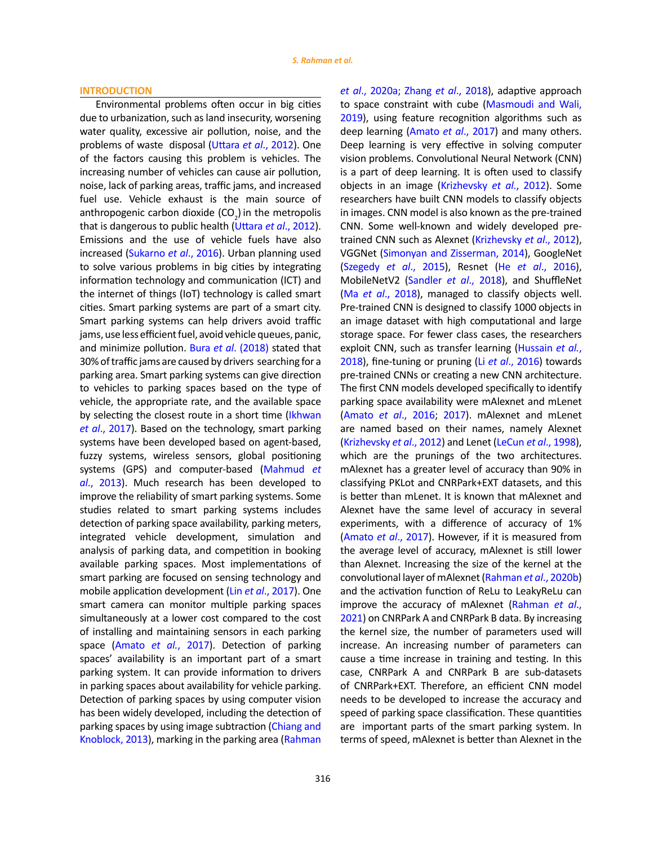### **INTRODUCTION**

Environmental problems often occur in big cities due to urbanization, such as land insecurity, worsening water quality, excessive air pollution, noise, and the problems of waste disposal (Uttara *et al*[., 2012\)](#page-10-0). One of the factors causing this problem is vehicles. The increasing number of vehicles can cause air pollution, noise, lack of parking areas, traffic jams, and increased fuel use. Vehicle exhaust is the main source of anthropogenic carbon dioxide  $(CO<sub>2</sub>)$  in the metropolis that is dangerous to public health ([Uttara](#page-10-0) *et al*., 2012). Emissions and the use of vehicle fuels have also increased ([Sukarno](#page-10-0) *et al*., 2016). Urban planning used to solve various problems in big cities by integrating information technology and communication (ICT) and the internet of things (IoT) technology is called smart cities. Smart parking systems are part of a smart city. Smart parking systems can help drivers avoid traffic jams, use less efficient fuel, avoid vehicle queues, panic, and minimize pollution. Bura *et al*[. \(2018\)](#page-10-0) stated that 30% of traffic jams are caused by drivers searching for a parking area. Smart parking systems can give direction to vehicles to parking spaces based on the type of vehicle, the appropriate rate, and the available space by selecting the closest route in a short time (Ikhwan *et al*[., 2017\).](#page-10-0) Based on the technology, smart parking systems have been developed based on agent-based, fuzzy systems, wireless sensors, global positioning systems (GPS) and computer-based ([Mahmud](#page-10-0) *et al*[., 2013\).](#page-10-0) Much research has been developed to improve the reliability of smart parking systems. Some studies related to smart parking systems includes detection of parking space availability, parking meters, integrated vehicle development, simulation and analysis of parking data, and competition in booking available parking spaces. Most implementations of smart parking are focused on sensing technology and mobile application development (Lin *et al*[., 2017\)](#page-10-0). One smart camera can monitor multiple parking spaces simultaneously at a lower cost compared to the cost of installing and maintaining sensors in each parking space [\(Amato](#page-10-0) *et al.*, 2017). Detection of parking spaces' availability is an important part of a smart parking system. It can provide information to drivers in parking spaces about availability for vehicle parking. Detection of parking spaces by using computer vision has been widely developed, including the detection of parking spaces by using image subtraction ([Chiang and](#page-10-0)  [Knoblock, 2013\),](#page-10-0) marking in the parking area ([Rahman](#page-10-0) 

*et al*[., 2020a; Zhang](#page-10-0) *et al*., 2018), adaptive approach to space constraint with cube [\(Masmoudi and Wali,](#page-10-0) [2019](#page-10-0)), using feature recognition algorithms such as deep learning [\(Amato](#page-10-0) *et al*., 2017) and many others. Deep learning is very effective in solving computer vision problems. Convolutional Neural Network (CNN) is a part of deep learning. It is often used to classify objects in an image [\(Krizhevsky](#page-10-0) *et al*., 2012). Some researchers have built CNN models to classify objects in images. CNN model is also known as the pre-trained CNN. Some well-known and widely developed pretrained CNN such as Alexnet [\(Krizhevsky](#page-10-0) *et al*., 2012), VGGNet [\(Simonyan and Zisserman, 2014\)](#page-10-0), GoogleNet ([Szegedy](#page-10-0) *et al*., 2015), Resnet (He *et al*[., 2016\),](#page-10-0) MobileNetV2 ([Sandler](#page-10-0) *et al*., 2018), and ShuffleNet (Ma *et al*[., 2018\),](#page-10-0) managed to classify objects well. Pre-trained CNN is designed to classify 1000 objects in an image dataset with high computational and large storage space. For fewer class cases, the researchers exploit CNN, such as transfer learning ([Hussain](#page-10-0) *et al.*, [2018](#page-10-0)), fine-tuning or pruning (Li *et al*[., 2016\)](#page-10-0) towards pre-trained CNNs or creating a new CNN architecture. The first CNN models developed specifically to identify parking space availability were mAlexnet and mLenet (Amato *et al*[., 2016;](#page-10-0) 2017). mAlexnet and mLenet are named based on their names, namely Alexnet ([Krizhevsky](#page-10-0) *et al*., 2012) and Lenet (LeCun *et al*[., 1998\),](#page-10-0) which are the prunings of the two architectures. mAlexnet has a greater level of accuracy than 90% in classifying PKLot and CNRPark+EXT datasets, and this is better than mLenet. It is known that mAlexnet and Alexnet have the same level of accuracy in several experiments, with a difference of accuracy of 1% (Amato *et al*[., 2017\).](#page-10-0) However, if it is measured from the average level of accuracy, mAlexnet is still lower than Alexnet. Increasing the size of the kernel at the convolutional layer of mAlexnet ([Rahman](#page-10-0) *et al*., 2020b) and the activation function of ReLu to LeakyReLu can improve the accuracy of mAlexnet ([Rahman](#page-10-0) *et al*., [2021](#page-10-0)) on CNRPark A and CNRPark B data. By increasing the kernel size, the number of parameters used will increase. An increasing number of parameters can cause a time increase in training and testing. In this case, CNRPark A and CNRPark B are sub-datasets of CNRPark+EXT. Therefore, an efficient CNN model needs to be developed to increase the accuracy and speed of parking space classification. These quantities are important parts of the smart parking system. In terms of speed, mAlexnet is better than Alexnet in the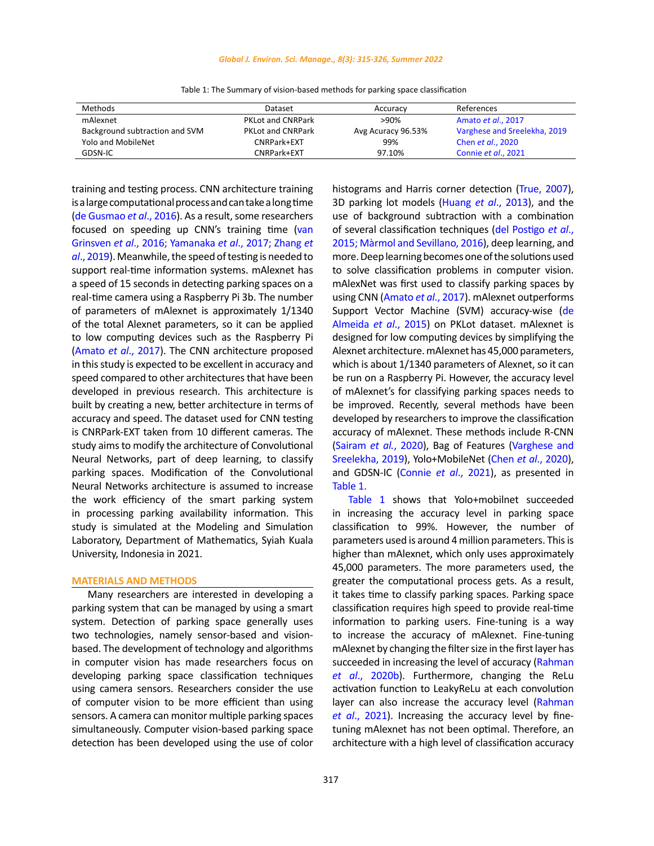### *Global J. Environ. Sci. Manage., 8(3): 315-326, Summer 2022*

| Methods                        | Dataset                  | Accuracy           | References                   |
|--------------------------------|--------------------------|--------------------|------------------------------|
| mAlexnet                       | <b>PKLot and CNRPark</b> | $>90\%$            | Amato et al., 2017           |
| Background subtraction and SVM | <b>PKLot and CNRPark</b> | Avg Acuracy 96.53% | Varghese and Sreelekha, 2019 |
| <b>Yolo and MobileNet</b>      | CNRPark+EXT              | 99%                | Chen <i>et al.</i> , 2020    |
| GDSN-IC                        | CNRPark+EXT              | 97.10%             | Connie et al., 2021          |

Table 1: The Summary of vision-based methods for parking space classification Table 1: The Summary of vision-based methods for parking space classification

training and testing process. CNN architecture training is a large computational process and can take a long time [\(de Gusmao](#page-10-0) *et al*., 2016). As a result, some researchers focused on speeding up CNN's training time ([van](#page-10-0)  Grinsven *et al*[., 2016; Yamanaka](#page-10-0) *et al*., 2017; Zhang *et al*[., 2019\)](#page-10-0). Meanwhile, the speed of testing is needed to support real-time information systems. mAlexnet has a speed of 15 seconds in detecting parking spaces on a real-time camera using a Raspberry Pi 3b. The number of parameters of mAlexnet is approximately 1/1340 of the total Alexnet parameters, so it can be applied to low computing devices such as the Raspberry Pi (Amato *et al*[., 2017\).](#page-10-0) The CNN architecture proposed in this study is expected to be excellent in accuracy and speed compared to other architectures that have been developed in previous research. This architecture is built by creating a new, better architecture in terms of accuracy and speed. The dataset used for CNN testing is CNRPark-EXT taken from 10 different cameras. The study aims to modify the architecture of Convolutional Neural Networks, part of deep learning, to classify parking spaces. Modification of the Convolutional Neural Networks architecture is assumed to increase the work efficiency of the smart parking system in processing parking availability information. This study is simulated at the Modeling and Simulation Laboratory, Department of Mathematics, Syiah Kuala University, Indonesia in 2021.

### **MATERIALS AND METHODS**

Many researchers are interested in developing a parking system that can be managed by using a smart system. Detection of parking space generally uses two technologies, namely sensor-based and visionbased. The development of technology and algorithms in computer vision has made researchers focus on developing parking space classification techniques using camera sensors. Researchers consider the use of computer vision to be more efficient than using sensors. A camera can monitor multiple parking spaces simultaneously. Computer vision-based parking space detection has been developed using the use of color histograms and Harris corner detection [\(True, 2007\)](#page-10-0), 3D parking lot models (Huang *et al*[., 2013\)](#page-10-0), and the use of background subtraction with a combination of several classification techniques [\(del Postigo](#page-10-0) *et al*., [2015; Màrmol and Sevillano, 2016\),](#page-10-0) deep learning, and more. Deep learning becomes one of the solutions used to solve classification problems in computer vision. mAlexNet was first used to classify parking spaces by using CNN [\(Amato](#page-10-0) *et al*., 2017). mAlexnet outperforms Support Vector Machine (SVM) accuracy-wise ([de](#page-10-0) Almeida *et al*[., 2015\)](#page-10-0) on PKLot dataset. mAlexnet is designed for low computing devices by simplifying the Alexnet architecture. mAlexnet has 45,000 parameters, which is about 1/1340 parameters of Alexnet, so it can be run on a Raspberry Pi. However, the accuracy level of mAlexnet's for classifying parking spaces needs to be improved. Recently, several methods have been developed by researchers to improve the classification accuracy of mAlexnet. These methods include R-CNN (Sairam *et al.*[, 2020\), B](#page-10-0)ag of Features [\(Varghese and](#page-10-0) [Sreelekha, 2019\)](#page-10-0), Yolo+MobileNet (Chen *et al*[., 2020\),](#page-10-0) and GDSN-IC [\(Connie](#page-10-0) *et al*., 2021), as presented in Table 1.

Table 1 shows that Yolo+mobilnet succeeded in increasing the accuracy level in parking space classification to 99%. However, the number of parameters used is around 4 million parameters. This is higher than mAlexnet, which only uses approximately 45,000 parameters. The more parameters used, the greater the computational process gets. As a result, it takes time to classify parking spaces. Parking space classification requires high speed to provide real-time information to parking users. Fine-tuning is a way to increase the accuracy of mAlexnet. Fine-tuning mAlexnet by changing the filter size in the first layer has succeeded in increasing the level of accuracy ([Rahman](#page-10-0) *et al*[., 2020b\).](#page-10-0) Furthermore, changing the ReLu activation function to LeakyReLu at each convolution layer can also increase the accuracy level ([Rahman](#page-10-0) *et al*[., 2021\).](#page-10-0) Increasing the accuracy level by finetuning mAlexnet has not been optimal. Therefore, an architecture with a high level of classification accuracy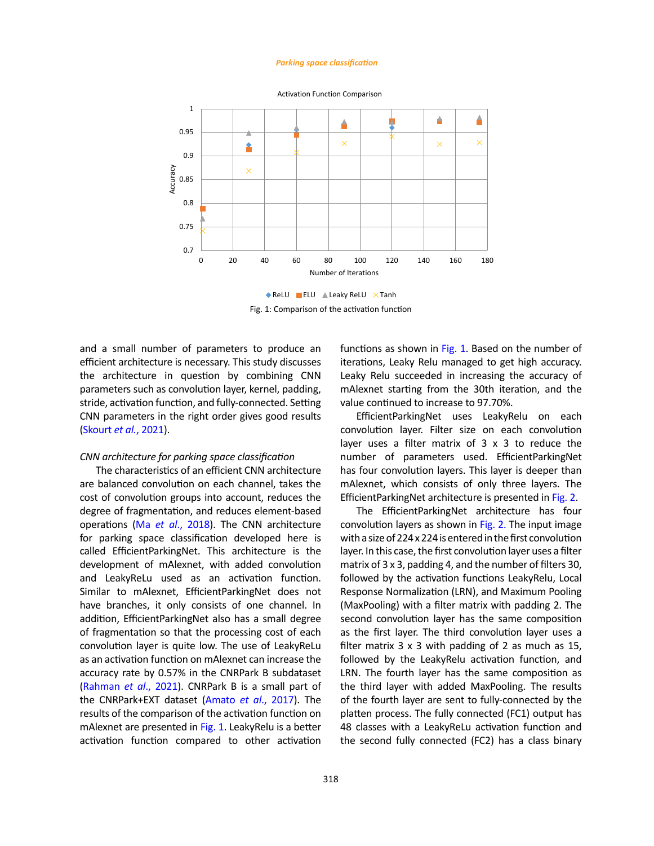#### *Parking space classification*



Activation Function Comparison

 $\blacklozenge$  ReLU ELU  $\blacktriangle$  Leaky ReLU  $\times$  Tanh Fig. 1: Comparison of the activation function

and a small number of parameters to produce an efficient architecture is necessary. This study discusses the architecture in question by combining CNN parameters such as convolution layer, kernel, padding, stride, activation function, and fully-connected. Setting CNN parameters in the right order gives good results ([Skourt](#page-10-0) *et al.*, 2021).

### *CNN architecture for parking space classification*

The characteristics of an efficient CNN architecture are balanced convolution on each channel, takes the cost of convolution groups into account, reduces the degree of fragmentation, and reduces element-based operations (Ma *et al*[., 2018\)](#page-10-0). The CNN architecture for parking space classification developed here is called EfficientParkingNet. This architecture is the development of mAlexnet, with added convolution and LeakyReLu used as an activation function. Similar to mAlexnet, EfficientParkingNet does not have branches, it only consists of one channel. In addition, EfficientParkingNet also has a small degree of fragmentation so that the processing cost of each convolution layer is quite low. The use of LeakyReLu as an activation function on mAlexnet can increase the accuracy rate by 0.57% in the CNRPark B subdataset [\(Rahman](#page-10-0) *et al*., 2021). CNRPark B is a small part of the CNRPark+EXT dataset (Amato *et al*[., 2017\).](#page-10-0) The results of the comparison of the activation function on mAlexnet are presented in Fig. 1. LeakyRelu is a better activation function compared to other activation functions as shown in Fig. 1. Based on the number of iterations, Leaky Relu managed to get high accuracy. Leaky Relu succeeded in increasing the accuracy of mAlexnet starting from the 30th iteration, and the value continued to increase to 97.70%.

EfficientParkingNet uses LeakyRelu on each convolution layer. Filter size on each convolution layer uses a filter matrix of 3 x 3 to reduce the number of parameters used. EfficientParkingNet has four convolution layers. This layer is deeper than mAlexnet, which consists of only three layers. The EfficientParkingNet architecture is presented in [Fig. 2.](#page-4-0)

The EfficientParkingNet architecture has four convolution layers as shown in [Fig. 2.](#page-4-0) The input image with a size of 224 x 224 is entered in the first convolution layer. In this case, the first convolution layer uses a filter matrix of 3 x 3, padding 4, and the number of filters 30, followed by the activation functions LeakyRelu, Local Response Normalization (LRN), and Maximum Pooling (MaxPooling) with a filter matrix with padding 2. The second convolution layer has the same composition as the first layer. The third convolution layer uses a filter matrix 3 x 3 with padding of 2 as much as 15, followed by the LeakyRelu activation function, and LRN. The fourth layer has the same composition as the third layer with added MaxPooling. The results of the fourth layer are sent to fully-connected by the platten process. The fully connected (FC1) output has 48 classes with a LeakyReLu activation function and the second fully connected (FC2) has a class binary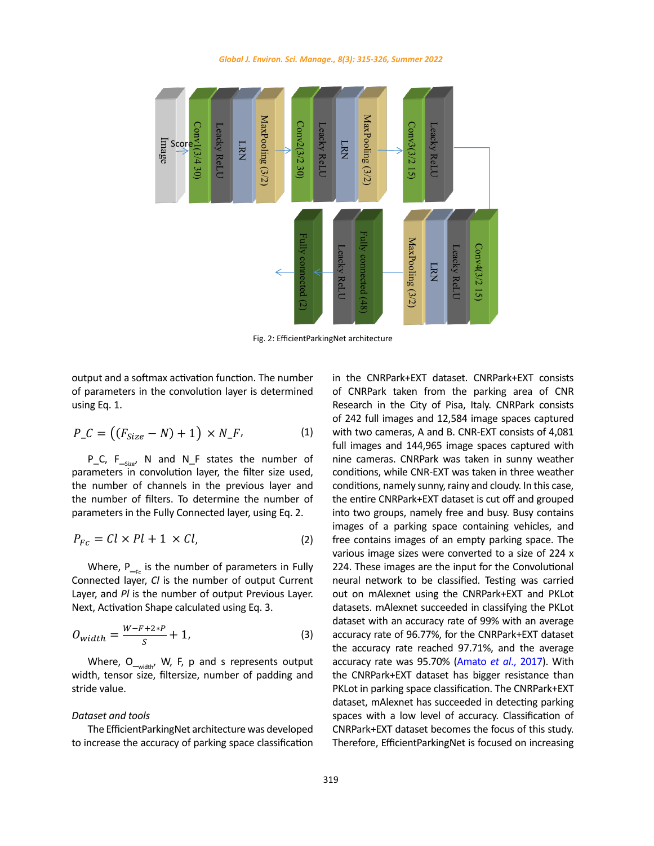<span id="page-4-0"></span>

Fig. 2: EfficientParkingNet architecture

using Eq. 1.

$$
P_{-}C = ((F_{Size} - N) + 1) \times N_{-}F, \qquad (1)
$$

the number of filters. To determine the number of  $\tau$ P\_C,  $F_{\text{Size}}$ , N and N\_F states the number of P\_C, P\_<sub>Size</sub>, in and in\_r states the number of the cameras. CNKPark was taken in suriny weather<br>parameters in convolution layer, the filter size used, conditions, while CNR-EXT was taken in three weather parameters in the Fully Connected layer, using Eq. 2. parameters in the Fully Connected layer, using Eq. 2.

$$
P_{Fc} = Cl \times Pl + 1 \times Cl,
$$
 (2) f

Connected layer, *Cl* is the number of output Current neural network to be classified. Testing was carried  $\frac{1}{2}$  Next, Activation Shape calculated using Eq. 3. Layer, and *Pl* is the number of output Previous Layer. Out on mAlexnet using the CNRPark+EXT and PKLo Where,  $P_{f_{\text{max}}}$  is the number of parameters in Fully

$$
O_{width} = \frac{W - F + 2*P}{S} + 1,\tag{3}
$$

Where,  $O_{\text{-width'}}$  W, F, p and s represents output *Dataset and tools* stride value. stride value. witch, v<sub>-width</sub>, v<sub>, 1</sub>, p and 3 represents barpart width, tensor size, filtersize, number of padding and

# *Dataset and tools Dataset and tools*

to increase the accuracy of parking space classification

output and a softmax activation function. The number in the CNRPark+EXT dataset. CNRPark+EXT consists of parameters in the convolution layer is determined of CNRPark taken from the parking area of CNR<br>Second in the City of Disc Italy CNBPark accepts output and a softmax activation function. The number <br>on the CNRPark+EXT+ CNRPark+EXT+CNRPark+EXT+EXT+EXT+EXT+EXT+EXT+EXT+E0nsists of parameters in the convolution layer is determined of CNRPark taken from the parking area of CNR of parameters in the convolution layer is determined using the fallen from the paramgement of entries with a Lea<br>using Eq. 1. The City of Pisa, Italy. CNRPark consists  $P\_ C = ((F_{Size} - N) + 1) \times N\_ F$ , (1) with two cameras, A and B. CNR-EXT consists of 4,081 parameters in convolution layer, the filter size used, conditions, while CNR-EXT was taken in three weather the number of channels in the previous layer and conditions, namely sunny, rainy and cloudy. In this case, parameters in the runy connected layer, using Eq. 2. Thus two groups, namely hee and busy, busy contains<br>images of a parking space containing vehicles, and<br> $P_1 = G_1 \times P_1 + 1 \times G_2$ Various image sizes were converted to a size or 224 x<br>Where, P<sub>—Fc</sub> is the number of parameters in Fully 224. These images are the input for the Convolutional Next, Activation Shape calculated using Eq. 3. The part of datasets. mAlexnet succeeded in classifying the PKLot Where  $S$   $\begin{bmatrix} 1 & 1 \\ 2 & 3 \end{bmatrix}$  for the contract of particle of particle in the parameters of padding and the present of particle in the parameters of  $\begin{bmatrix} 1 & 2 \\ 2 & 3 \end{bmatrix}$  and the present of particle in the prese dataset, mAlexnet has succeeded in detecting parking Dataset and tools example and the spaces with a low level of accuracy. Classification of The EfficientParkingNet architecture was developed<br>
CNRPark+EXT dataset becomes the focus of this study. spaces captured with two cameras, A and B. CNR-EXT consists of 4,081 full images and 144,965 image area of CNR Research in the City of Pisa, Italy. CNRPark consists of 242 full images and 12,584 image classification in the CNRPark+EXT dataset. CNRPark+EXT consists of CNRPark taken from the parking Therefore, EfficientParkingNet is focused on increasing the number of channels in the previous layer and conditions, namely sunny, rainy and cloudy. In this case, of parameters in the convolution in the convolution is determined using Eq. 1.<br>of 242 full images and 12,584 image spaces captured full images and 144,965 image spaces captured with the number of filters. To determine the number of the entire CNRPark+EXT dataset is cut off and grouped  $P_{Fc} = CL \times Pl + 1 \times Cl,$  (2) free contains images of an empty parking space. The Where, P<sub>rec</sub> is the number of parameters in Fully Connected layer, *Cl* is the number of output Current neural network to be classified. Testing was carried  $\frac{1}{2}$  and  $\frac{1}{2}$  are  $\frac{1}{2}$ . the accuracy rate reached 97.71%, and the average<br>Where, O. W. F, p and s represents output width, accuracy rate russ OF 70% (Appetential 2007). With Layer, and PI is the number of output Previous Layer. *out on mAlexnet using the CNRPark+EXT and PKLot* + 1, (3) accuracy rate of 96.77%, for the CNRPark+EXT dataset width, tensor size, filtersize, number of padding and the CNRPark+EXT dataset has bigger resistance than nine cameras. CNRPark was taken in sunny weather into two groups, namely free and busy. Busy contains various image sizes were converted to a size of 224 x accuracy rate was 95.70% (Amato *et al*., 2017). With PKLot in parking space classification. The CNRPark+EXT CNRPark+EXT dataset becomes the focus of this study.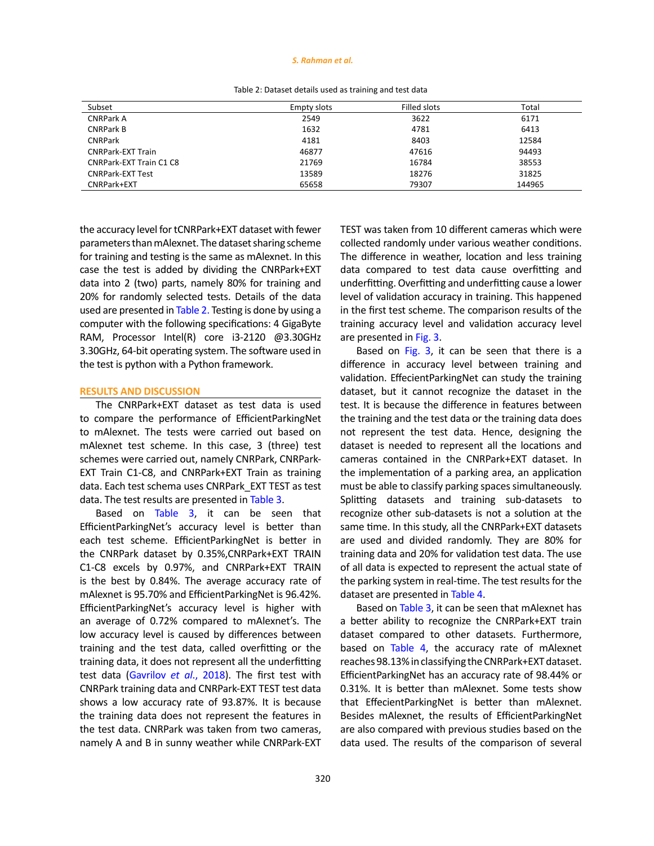### *S. Rahman et al.*

| Subset                   | <b>Empty slots</b> | Filled slots | Total  |
|--------------------------|--------------------|--------------|--------|
| <b>CNRPark A</b>         | 2549               | 3622         | 6171   |
| <b>CNRPark B</b>         | 1632               | 4781         | 6413   |
| <b>CNRPark</b>           | 4181               | 8403         | 12584  |
| <b>CNRPark-EXT Train</b> | 46877              | 47616        | 94493  |
| CNRPark-EXT Train C1 C8  | 21769              | 16784        | 38553  |
| <b>CNRPark-EXT Test</b>  | 13589              | 18276        | 31825  |
| CNRPark+EXT              | 65658              | 79307        | 144965 |

Table 2: Dataset details used as training and test data Table 2: Dataset details used as training and test data

the accuracy level for tCNRPark+EXT dataset with fewer parameters than mAlexnet. The dataset sharing scheme for training and testing is the same as mAlexnet. In this case the test is added by dividing the CNRPark+EXT data into 2 (two) parts, namely 80% for training and 20% for randomly selected tests. Details of the data used are presented in Table 2. Testing is done by using a computer with the following specifications: 4 GigaByte RAM, Processor Intel(R) core i3-2120 @3.30GHz 3.30GHz, 64-bit operating system. The software used in the test is python with a Python framework.

### **RESULTS AND DISCUSSION**

The CNRPark+EXT dataset as test data is used to compare the performance of EfficientParkingNet to mAlexnet. The tests were carried out based on mAlexnet test scheme. In this case, 3 (three) test schemes were carried out, namely CNRPark, CNRPark-EXT Train C1-C8, and CNRPark+EXT Train as training data. Each test schema uses CNRPark\_EXT TEST as test data. The test results are presented in [Table 3.](#page-6-0)

Based on [Table 3,](#page-6-0) it can be seen that EfficientParkingNet's accuracy level is better than each test scheme. EfficientParkingNet is better in the CNRPark dataset by 0.35%,CNRPark+EXT TRAIN C1-C8 excels by 0.97%, and CNRPark+EXT TRAIN is the best by 0.84%. The average accuracy rate of mAlexnet is 95.70% and EfficientParkingNet is 96.42%. EfficientParkingNet's accuracy level is higher with an average of 0.72% compared to mAlexnet's. The low accuracy level is caused by differences between training and the test data, called overfitting or the training data, it does not represent all the underfitting test data (Gavrilov *et al*[., 2018\). T](#page-10-0)he first test with CNRPark training data and CNRPark-EXT TEST test data shows a low accuracy rate of 93.87%. It is because the training data does not represent the features in the test data. CNRPark was taken from two cameras, namely A and B in sunny weather while CNRPark-EXT TEST was taken from 10 different cameras which were collected randomly under various weather conditions. The difference in weather, location and less training data compared to test data cause overfitting and underfitting. Overfitting and underfitting cause a lower level of validation accuracy in training. This happened in the first test scheme. The comparison results of the training accuracy level and validation accuracy level are presented in [Fig. 3.](#page-6-0)

Based on [Fig. 3,](#page-6-0) it can be seen that there is a difference in accuracy level between training and validation. EffecientParkingNet can study the training dataset, but it cannot recognize the dataset in the test. It is because the difference in features between the training and the test data or the training data does not represent the test data. Hence, designing the dataset is needed to represent all the locations and cameras contained in the CNRPark+EXT dataset. In the implementation of a parking area, an application must be able to classify parking spaces simultaneously. Splitting datasets and training sub-datasets to recognize other sub-datasets is not a solution at the same time. In this study, all the CNRPark+EXT datasets are used and divided randomly. They are 80% for training data and 20% for validation test data. The use of all data is expected to represent the actual state of the parking system in real-time. The test results for the dataset are presented in [Table 4.](#page-7-0)

Based on [Table 3](#page-6-0), it can be seen that mAlexnet has a better ability to recognize the CNRPark+EXT train dataset compared to other datasets. Furthermore, based on [Table 4](#page-7-0), the accuracy rate of mAlexnet reaches 98.13% in classifying the CNRPark+EXT dataset. EfficientParkingNet has an accuracy rate of 98.44% or 0.31%. It is better than mAlexnet. Some tests show that EffecientParkingNet is better than mAlexnet. Besides mAlexnet, the results of EfficientParkingNet are also compared with previous studies based on the data used. The results of the comparison of several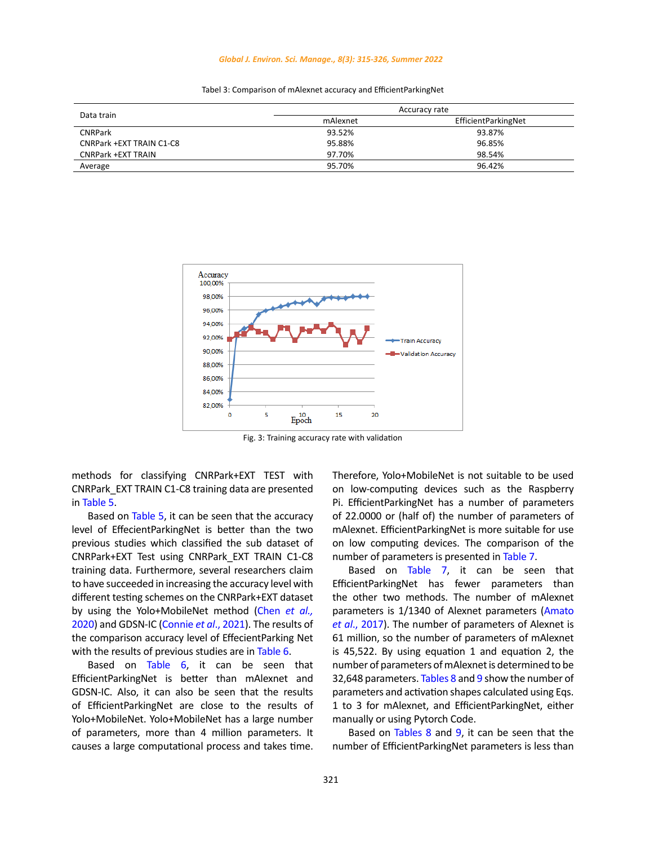### *Global J. Environ. Sci. Manage., 8(3): 315-326, Summer 2022*

<span id="page-6-0"></span>

|                           | Accuracy rate |                     |  |
|---------------------------|---------------|---------------------|--|
| Data train                | mAlexnet      | EfficientParkingNet |  |
| <b>CNRPark</b>            | 93.52%        | 93.87%              |  |
| CNRPark +EXT TRAIN C1-C8  | 95.88%        | 96.85%              |  |
| <b>CNRPark +EXT TRAIN</b> | 97.70%        | 98.54%              |  |
| Average                   | 95.70%        | 96.42%              |  |



Fig. 3: Training accuracy rate with validation

methods for classifying CNRPark+EXT TEST with CNRPark\_EXT TRAIN C1-C8 training data are presented in [Table 5](#page-7-0).

Based on [Table 5,](#page-7-0) it can be seen that the accuracy level of EffecientParkingNet is better than the two previous studies which classified the sub dataset of CNRPark+EXT Test using CNRPark\_EXT TRAIN C1-C8 training data. Furthermore, several researchers claim to have succeeded in increasing the accuracy level with different testing schemes on the CNRPark+EXT dataset by using the Yolo+MobileNet method (Chen *[et al.,](#page-10-0)* [2020\)](#page-10-0) and GDSN-IC [\(Connie](#page-10-0) *et al*., 2021). The results of the comparison accuracy level of EffecientParking Net with the results of previous studies are in [Table 6.](#page-7-0)

Based on [Table 6,](#page-7-0) it can be seen that EfficientParkingNet is better than mAlexnet and GDSN-IC. Also, it can also be seen that the results of EfficientParkingNet are close to the results of Yolo+MobileNet. Yolo+MobileNet has a large number of parameters, more than 4 million parameters. It causes a large computational process and takes time.

Therefore, Yolo+MobileNet is not suitable to be used on low-computing devices such as the Raspberry Pi. EfficientParkingNet has a number of parameters of 22.0000 or (half of) the number of parameters of mAlexnet. EfficientParkingNet is more suitable for use on low computing devices. The comparison of the number of parameters is presented in [Table 7](#page-7-0).

Based on [Table 7](#page-7-0), it can be seen that EfficientParkingNet has fewer parameters than the other two methods. The number of mAlexnet parameters is 1/1340 of Alexnet parameters ([Amato](#page-10-0) *et al*[., 2017\).](#page-10-0) The number of parameters of Alexnet is 61 million, so the number of parameters of mAlexnet is 45,522. By using equation 1 and equation 2, the number of parameters of mAlexnet is determined to be 32,648 parameters. [Tables 8](#page-7-0) and 9 show the number of parameters and activation shapes calculated using Eqs. 1 to 3 for mAlexnet, and EfficientParkingNet, either manually or using Pytorch Code.

Based on [Tables 8](#page-7-0) and 9, it can be seen that the number of EfficientParkingNet parameters is less than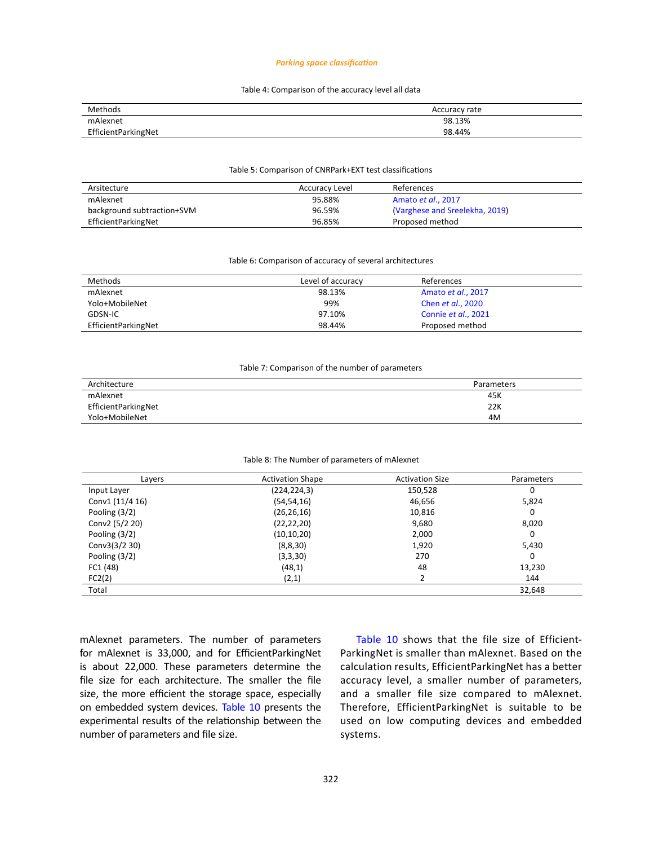### *Parking space classification*

# Table 4: Comparison of the accuracy level all data Table 4: Comparison of the accuracy level all data

<span id="page-7-0"></span>

| Methods             | Accuracy rate |
|---------------------|---------------|
| mAlexnet            | 98.13%        |
| EfficientParkingNet | 98.44%        |

# Table 5: Comparison of CNRPark+EXT test classifications Table 5: Comparison of CNRPark+EXT test classifications

| Arsitecture                | Accuracy Level | References                     |
|----------------------------|----------------|--------------------------------|
| mAlexnet                   | 95.88%         | Amato et al., 2017             |
| background subtraction+SVM | 96.59%         | (Varghese and Sreelekha, 2019) |
| EfficientParkingNet        | 96.85%         | Proposed method                |

# Table 6: Comparison of accuracy of several architectures Table 6: Comparison of accuracy of several architectures

| Methods             | Level of accuracy | References                |  |
|---------------------|-------------------|---------------------------|--|
| mAlexnet            | 98.13%            | Amato et al., 2017        |  |
| Yolo+MobileNet      | 99%               | Chen <i>et al.</i> , 2020 |  |
| GDSN-IC             | 97.10%            | Connie et al., 2021       |  |
| EfficientParkingNet | 98.44%            | Proposed method           |  |

# Table 7: Comparison of the number of parameters Table 7: Comparison of the number of parameters

| Architecture        | Parameters |
|---------------------|------------|
| mAlexnet            | 45K        |
| EfficientParkingNet | 22K        |
| Yolo+MobileNet      | 4M         |

# Table 8: The Number of parameters of mAlexnet Table 8: The Number of parameters of mAlexnet

| Layers           | <b>Activation Shape</b> | <b>Activation Size</b> | Parameters |
|------------------|-------------------------|------------------------|------------|
| Input Layer      | (224, 224, 3)           | 150,528                | 0          |
| Conv1 (11/4 16)  | (54, 54, 16)            | 46,656                 | 5,824      |
| Pooling $(3/2)$  | (26, 26, 16)            | 10,816                 | 0          |
| Conv2 (5/2 20)   | (22, 22, 20)            | 9,680                  | 8,020      |
| Pooling $(3/2)$  | (10, 10, 20)            | 2,000                  | 0          |
| Conv $3(3/2 30)$ | (8,8,30)                | 1,920                  | 5,430      |
| Pooling $(3/2)$  | (3,3,30)                | 270                    | 0          |
| FC1 (48)         | (48,1)                  | 48                     | 13,230     |
| FC2(2)           | (2,1)                   | 2                      | 144        |
| Total            |                         |                        | 32,648     |

mAlexnet parameters. The number of parameters for mAlexnet is 33,000, and for EfficientParkingNet is about 22,000. These parameters determine the file size for each architecture. The smaller the file size, the more efficient the storage space, especially on embedded system devices. [Table 10](#page-8-0) presents the experimental results of the relationship between the number of parameters and file size.

[Table 10](#page-8-0) shows that the file size of Efficient-ParkingNet is smaller than mAlexnet. Based on the calculation results, EfficientParkingNet has a better accuracy level, a smaller number of parameters, and a smaller file size compared to mAlexnet. Therefore, EfficientParkingNet is suitable to be used on low computing devices and embedded systems.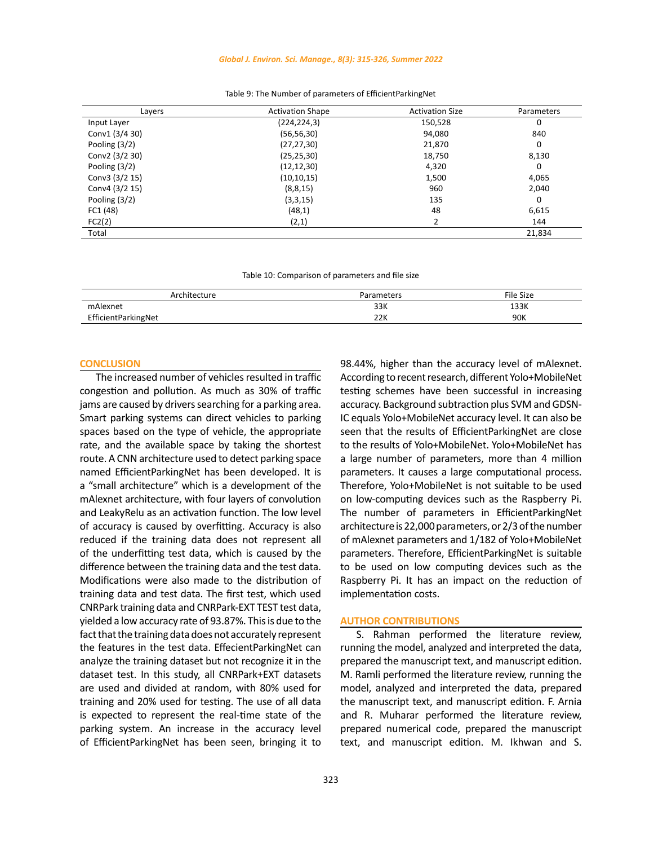### *Global J. Environ. Sci. Manage., 8(3): 315-326, Summer 2022*

<span id="page-8-0"></span>

| Layers          | <b>Activation Shape</b> | <b>Activation Size</b> | Parameters |
|-----------------|-------------------------|------------------------|------------|
| Input Layer     | (224, 224, 3)           | 150,528                | 0          |
| Conv1 (3/4 30)  | (56, 56, 30)            | 94,080                 | 840        |
| Pooling $(3/2)$ | (27, 27, 30)            | 21,870                 | 0          |
| Conv2 (3/2 30)  | (25, 25, 30)            | 18,750                 | 8,130      |
| Pooling $(3/2)$ | (12, 12, 30)            | 4,320                  | 0          |
| Conv3 (3/2 15)  | (10, 10, 15)            | 1,500                  | 4,065      |
| Conv4 (3/2 15)  | (8, 8, 15)              | 960                    | 2,040      |
| Pooling (3/2)   | (3,3,15)                | 135                    | 0          |
| FC1 (48)        | (48,1)                  | 48                     | 6,615      |
| FC2(2)          | (2,1)                   | 2                      | 144        |
| Total           |                         |                        | 21,834     |

Table 9: The Number of parameters of EfficientParkingNet Table 9: The Number of parameters of EfficientParkingNet

Table 10: Comparison of parameters and file size Table 10: Comparison of parameters and file size

| Architecture        | Parameters | File Size |
|---------------------|------------|-----------|
| mAlexnet            | 33K        | 133K      |
| EfficientParkingNet | 22K        | 90K       |

# **CONCLUSION**

The increased number of vehicles resulted in traffic congestion and pollution. As much as 30% of traffic jams are caused by drivers searching for a parking area. Smart parking systems can direct vehicles to parking spaces based on the type of vehicle, the appropriate rate, and the available space by taking the shortest route. A CNN architecture used to detect parking space named EfficientParkingNet has been developed. It is a "small architecture" which is a development of the mAlexnet architecture, with four layers of convolution and LeakyRelu as an activation function. The low level of accuracy is caused by overfitting. Accuracy is also reduced if the training data does not represent all of the underfitting test data, which is caused by the difference between the training data and the test data. Modifications were also made to the distribution of training data and test data. The first test, which used CNRPark training data and CNRPark-EXT TEST test data, yielded a low accuracy rate of 93.87%. This is due to the fact that the training data does not accurately represent the features in the test data. EffecientParkingNet can analyze the training dataset but not recognize it in the dataset test. In this study, all CNRPark+EXT datasets are used and divided at random, with 80% used for training and 20% used for testing. The use of all data is expected to represent the real-time state of the parking system. An increase in the accuracy level of EfficientParkingNet has been seen, bringing it to 98.44%, higher than the accuracy level of mAlexnet. According to recent research, different Yolo+MobileNet testing schemes have been successful in increasing accuracy. Background subtraction plus SVM and GDSN-IC equals Yolo+MobileNet accuracy level. It can also be seen that the results of EfficientParkingNet are close to the results of Yolo+MobileNet. Yolo+MobileNet has a large number of parameters, more than 4 million parameters. It causes a large computational process. Therefore, Yolo+MobileNet is not suitable to be used on low-computing devices such as the Raspberry Pi. The number of parameters in EfficientParkingNet architecture is 22,000 parameters, or 2/3 of the number of mAlexnet parameters and 1/182 of Yolo+MobileNet parameters. Therefore, EfficientParkingNet is suitable to be used on low computing devices such as the Raspberry Pi. It has an impact on the reduction of implementation costs.

# **AUTHOR CONTRIBUTIONS**

S. Rahman performed the literature review, running the model, analyzed and interpreted the data, prepared the manuscript text, and manuscript edition. M. Ramli performed the literature review, running the model, analyzed and interpreted the data, prepared the manuscript text, and manuscript edition. F. Arnia and R. Muharar performed the literature review, prepared numerical code, prepared the manuscript text, and manuscript edition. M. Ikhwan and S.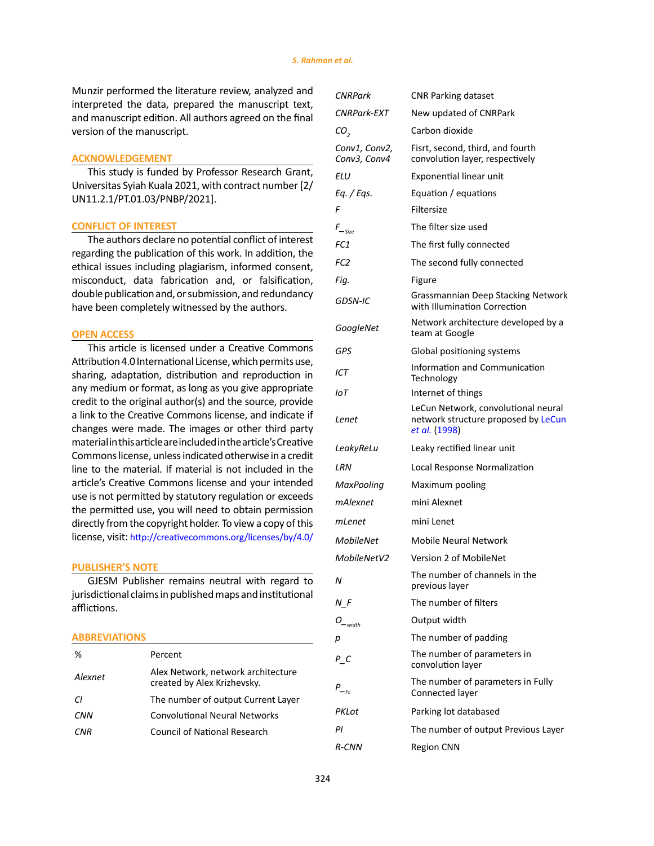Munzir performed the literature review, analyzed and interpreted the data, prepared the manuscript text, and manuscript edition. All authors agreed on the final version of the manuscript.

## **ACKNOWLEDGEMENT**

This study is funded by Professor Research Grant, Universitas Syiah Kuala 2021, with contract number [2/ UN11.2.1/PT.01.03/PNBP/2021].

### **CONFLICT OF INTEREST**

The authors declare no potential conflict of interest regarding the publication of this work. In addition, the ethical issues including plagiarism, informed consent, misconduct, data fabrication and, or falsification, double publication and, or submission, and redundancy have been completely witnessed by the authors.

# **OPEN ACCESS**

This article is licensed under a Creative Commons Attribution 4.0 International License, which permits use, sharing, adaptation, distribution and reproduction in any medium or format, as long as you give appropriate credit to the original author(s) and the source, provide a link to the Creative Commons license, and indicate if changes were made. The images or other third party material in this article are included in the article's Creative Commons license, unless indicated otherwise in a credit line to the material. If material is not included in the article's Creative Commons license and your intended use is not permitted by statutory regulation or exceeds the permitted use, you will need to obtain permission directly from the copyright holder. To view a copy of this license, visit: <http://creativecommons.org/licenses/by/4.0/>

# **PUBLISHER'S NOTE**

GJESM Publisher remains neutral with regard to jurisdictional claims in published maps and institutional afflictions.

### **ABBREVIATIONS**

| Percent                                                           |
|-------------------------------------------------------------------|
| Alex Network, network architecture<br>created by Alex Krizhevsky. |
| The number of output Current Layer                                |
| <b>Convolutional Neural Networks</b>                              |
| Council of National Research                                      |
|                                                                   |

| <b>CNRPark</b>                | <b>CNR Parking dataset</b>                                                                  |
|-------------------------------|---------------------------------------------------------------------------------------------|
| CNRPark-EXT                   | New updated of CNRPark                                                                      |
| CO <sub>2</sub>               | Carbon dioxide                                                                              |
| Conv1, Conv2,<br>Conv3, Conv4 | Fisrt, second, third, and fourth<br>convolution layer, respectively                         |
| ELU                           | Exponential linear unit                                                                     |
| Eq. / Eqs.                    | Equation / equations                                                                        |
| F                             | Filtersize                                                                                  |
| $F_{\text{--Size}}$           | The filter size used                                                                        |
| FC <sub>1</sub>               | The first fully connected                                                                   |
| FC <sub>2</sub>               | The second fully connected                                                                  |
| Fig.                          | Figure                                                                                      |
| GDSN-IC                       | Grassmannian Deep Stacking Network<br>with Illumination Correction                          |
| GoogleNet                     | Network architecture developed by a<br>team at Google                                       |
| GPS                           | Global positioning systems                                                                  |
| ICT                           | Information and Communication<br>Technology                                                 |
| IoT                           | Internet of things                                                                          |
| Lenet                         | LeCun Network, convolutional neural<br>network structure proposed by LeCun<br>et al. (1998) |
| LeakyReLu                     | Leaky rectified linear unit                                                                 |
| LRN                           | Local Response Normalization                                                                |
| MaxPooling                    | Maximum pooling                                                                             |
| mAlexnet                      | mini Alexnet                                                                                |
| mLenet                        | mini Lenet                                                                                  |
| <b>MobileNet</b>              | Mobile Neural Network                                                                       |
| MobileNetV2                   | Version 2 of MobileNet                                                                      |
| Ν                             | The number of channels in the<br>previous layer                                             |
| N F                           | The number of filters                                                                       |
| $O_{_width}$                  | Output width                                                                                |
| р                             | The number of padding                                                                       |
| РC                            | The number of parameters in<br>convolution layer                                            |
| $P_{-\epsilon}$               | The number of parameters in Fully<br>Connected layer                                        |
| PKLot                         | Parking lot databased                                                                       |
| Ρl                            | The number of output Previous Layer                                                         |
| <b>R-CNN</b>                  | <b>Region CNN</b>                                                                           |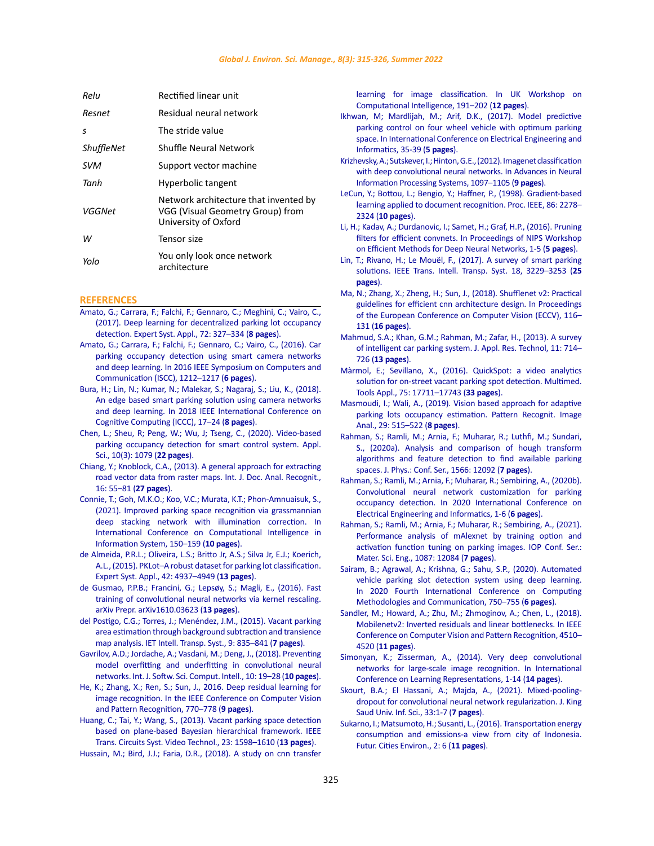<span id="page-10-0"></span>

| Relu       | <b>Rectified linear unit</b>                                                                      |
|------------|---------------------------------------------------------------------------------------------------|
| Resnet     | Residual neural network                                                                           |
| s          | The stride value                                                                                  |
| ShuffleNet | Shuffle Neural Network                                                                            |
| SVM        | Support vector machine                                                                            |
| Tanh       | Hyperbolic tangent                                                                                |
| VGGNet     | Network architecture that invented by<br>VGG (Visual Geometry Group) from<br>University of Oxford |
| w          | Tensor size                                                                                       |
| Yolo       | You only look once network<br>architecture                                                        |

### **REFERENCES**

- [Amato, G.; Carrara, F.; Falchi, F.; Gennaro, C.; Meghini, C.; Vairo, C.,](https://www.sciencedirect.com/science/article/abs/pii/S095741741630598X)  [\(2017\). Deep learning for decentralized parking lot occupancy](https://www.sciencedirect.com/science/article/abs/pii/S095741741630598X)  [detection. Expert Syst. Appl., 72: 327–334 \(](https://www.sciencedirect.com/science/article/abs/pii/S095741741630598X)**8 pages**).
- [Amato, G.; Carrara, F.; Falchi, F.; Gennaro, C.; Vairo, C., \(2016\). Car](https://ieeexplore.ieee.org/document/7543901)  [parking occupancy detection using smart camera networks](https://ieeexplore.ieee.org/document/7543901)  [and deep learning. In 2016 IEEE Symposium on Computers and](https://ieeexplore.ieee.org/document/7543901)  [Communication \(ISCC\), 1212–1217 \(](https://ieeexplore.ieee.org/document/7543901)**6 pages**).
- [Bura, H.; Lin, N.; Kumar, N.; Malekar, S.; Nagaraj, S.; Liu, K., \(2018\).](https://ieeexplore.ieee.org/document/8457691)  [An edge based smart parking solution using camera networks](https://ieeexplore.ieee.org/document/8457691)  [and deep learning. In 2018 IEEE International Conference on](https://ieeexplore.ieee.org/document/8457691)  [Cognitive Computing \(ICCC\), 17–24 \(](https://ieeexplore.ieee.org/document/8457691)**8 pages**).
- [Chen, L.; Sheu, R; Peng, W.; Wu, J; Tseng, C., \(2020\). Video-based](https://www.mdpi.com/2076-3417/10/3/1079/htm)  [parking occupancy detection for smart control system. Appl.](https://www.mdpi.com/2076-3417/10/3/1079/htm)  [Sci., 10\(3\): 1079 \(](https://www.mdpi.com/2076-3417/10/3/1079/htm)**22 pages**).
- [Chiang, Y.; Knoblock, C.A., \(2013\). A general approach for extracting](https://link.springer.com/article/10.1007/s10032-011-0177-1)  [road vector data from raster maps. Int. J. Doc. Anal. Recognit.,](https://link.springer.com/article/10.1007/s10032-011-0177-1)  [16: 55–81 \(](https://link.springer.com/article/10.1007/s10032-011-0177-1)**27 pages**).
- [Connie, T.; Goh, M.K.O.; Koo, V.C.; Murata, K.T.; Phon-Amnuaisuk, S.,](https://link.springer.com/chapter/10.1007/978-3-030-68133-3_15)  [\(2021\). Improved parking space recognition via grassmannian](https://link.springer.com/chapter/10.1007/978-3-030-68133-3_15)  [deep stacking network with illumination correction. In](https://link.springer.com/chapter/10.1007/978-3-030-68133-3_15)  [International Conference on Computational Intelligence in](https://link.springer.com/chapter/10.1007/978-3-030-68133-3_15)  [Information System, 150–159 \(](https://link.springer.com/chapter/10.1007/978-3-030-68133-3_15)**10 pages**).
- [de Almeida, P.R.L.; Oliveira, L.S.; Britto Jr, A.S.; Silva Jr, E.J.; Koerich,](https://www.sciencedirect.com/science/article/abs/pii/S0957417415001086)  [A.L., \(2015\). PKLot–A robust dataset for parking lot classification.](https://www.sciencedirect.com/science/article/abs/pii/S0957417415001086)  [Expert Syst. Appl., 42: 4937–4949 \(](https://www.sciencedirect.com/science/article/abs/pii/S0957417415001086)**13 pages**).
- [de Gusmao, P.P.B.; Francini, G.; Lepsøy, S.; Magli, E., \(2016\). Fast](https://arxiv.org/pdf/1610.03623.pdf)  [training of convolutional neural networks via kernel rescaling.](https://arxiv.org/pdf/1610.03623.pdf)  [arXiv Prepr. arXiv1610.03623 \(](https://arxiv.org/pdf/1610.03623.pdf)**13 pages**).
- [del Postigo, C.G.; Torres, J.; Menéndez, J.M., \(2015\). Vacant parking](http://oa.upm.es/40735/1/INVE_MEM_2015_220315.pdf)  [area estimation through background subtraction and transience](http://oa.upm.es/40735/1/INVE_MEM_2015_220315.pdf)  [map analysis. IET Intell. Transp. Syst., 9: 835–841 \(](http://oa.upm.es/40735/1/INVE_MEM_2015_220315.pdf)**7 pages**).
- [Gavrilov, A.D.; Jordache, A.; Vasdani, M.; Deng, J., \(2018\). Preventing](https://www.igi-global.com/article/preventing-model-overfitting-and-underfitting-in-convolutional-neural-networks/223492)  [model overfitting and underfitting in convolutional neural](https://www.igi-global.com/article/preventing-model-overfitting-and-underfitting-in-convolutional-neural-networks/223492)  [networks. Int. J. Softw. Sci. Comput. Intell., 10: 19–28 \(](https://www.igi-global.com/article/preventing-model-overfitting-and-underfitting-in-convolutional-neural-networks/223492)**10 pages**).
- [He, K.; Zhang, X.; Ren, S.; Sun, J., 2016. Deep residual learning for](https://ieeexplore.ieee.org/document/7780459)  [image recognition. In the IEEE Conference on Computer Vision](https://ieeexplore.ieee.org/document/7780459)  [and Pattern Recognition, 770–778 \(](https://ieeexplore.ieee.org/document/7780459)**9 pages**).
- [Huang, C.; Tai, Y.; Wang, S., \(2013\). Vacant parking space detection](https://ieeexplore.ieee.org/document/6488793)  [based on plane-based Bayesian hierarchical framework. IEEE](https://ieeexplore.ieee.org/document/6488793)  [Trans. Circuits Syst. Video Technol., 23: 1598–1610 \(](https://ieeexplore.ieee.org/document/6488793)**13 pages**).

[Hussain, M.; Bird, J.J.; Faria, D.R., \(2018\). A study on cnn transfer](https://link.springer.com/chapter/10.1007/978-3-319-97982-3_16) 

[learning for image classification. In UK Workshop on](https://link.springer.com/chapter/10.1007/978-3-319-97982-3_16) [Computational Intelligence, 191–202 \(](https://link.springer.com/chapter/10.1007/978-3-319-97982-3_16)**12 pages**).

- [Ikhwan, M; Mardlijah, M.; Arif, D.K., \(2017\). Model predictive](https://ieeexplore.ieee.org/document/8253232) [parking control on four wheel vehicle with optimum parking](https://ieeexplore.ieee.org/document/8253232) [space. In International Conference on Electrical Engineering and](https://ieeexplore.ieee.org/document/8253232) [Informatics, 35-39 \(](https://ieeexplore.ieee.org/document/8253232)**5 pages**).
- [Krizhevsky, A.; Sutskever, I.; Hinton, G.E., \(2012\). Imagenet classification](https://papers.nips.cc/paper/2012/file/c399862d3b9d6b76c8436e924a68c45b-Paper.pdf) [with deep convolutional neural networks. In Advances in Neural](https://papers.nips.cc/paper/2012/file/c399862d3b9d6b76c8436e924a68c45b-Paper.pdf) [Information Processing Systems, 1097–1105 \(](https://papers.nips.cc/paper/2012/file/c399862d3b9d6b76c8436e924a68c45b-Paper.pdf)**9 pages**).
- [LeCun, Y.; Bottou, L.; Bengio, Y.; Haffner, P., \(1998\). Gradient-based](https://ieeexplore.ieee.org/document/726791) [learning applied to document recognition. Proc. IEEE, 86: 2278–](https://ieeexplore.ieee.org/document/726791) 2324 (**[10 pages](https://ieeexplore.ieee.org/document/726791)**).
- [Li, H.; Kadav, A.; Durdanovic, I.; Samet, H.; Graf, H.P., \(2016\). Pruning](http://www.cs.umd.edu/~hjs/pubs/nipswemdnn16-header.pdf) [filters for efficient convnets. In Proceedings of NIPS Workshop](http://www.cs.umd.edu/~hjs/pubs/nipswemdnn16-header.pdf) [on Efficient Methods for Deep Neural Networks, 1-5 \(](http://www.cs.umd.edu/~hjs/pubs/nipswemdnn16-header.pdf)**5 pages**).
- [Lin, T.; Rivano, H.; Le Mouël, F., \(2017\). A survey of smart parking](https://ieeexplore.ieee.org/document/7895130) [solutions. IEEE Trans. Intell. Transp. Syst. 18, 3229–3253 \(](https://ieeexplore.ieee.org/document/7895130)**25 [pages](https://ieeexplore.ieee.org/document/7895130)**).
- [Ma, N.; Zhang, X.; Zheng, H.; Sun, J., \(2018\). Shufflenet v2: Practical](https://link.springer.com/chapter/10.1007/978-3-030-01264-9_8) [guidelines for efficient cnn architecture design. In Proceedings](https://link.springer.com/chapter/10.1007/978-3-030-01264-9_8) [of the European Conference on Computer Vision \(ECCV\), 116–](https://link.springer.com/chapter/10.1007/978-3-030-01264-9_8) 131 (**[16 pages](https://link.springer.com/chapter/10.1007/978-3-030-01264-9_8)**).
- [Mahmud, S.A.; Khan, G.M.; Rahman, M.; Zafar, H., \(2013\). A survey](https://www.sciencedirect.com/science/article/pii/S1665642313715803) [of intelligent car parking system. J. Appl. Res. Technol, 11: 714–](https://www.sciencedirect.com/science/article/pii/S1665642313715803) 726 (**[13 pages](https://www.sciencedirect.com/science/article/pii/S1665642313715803)**).
- [Màrmol, E.; Sevillano, X., \(2016\). QuickSpot: a video analytics](https://link.springer.com/article/10.1007/s11042-016-3773-8) [solution for on-street vacant parking spot detection. Multimed.](https://link.springer.com/article/10.1007/s11042-016-3773-8) [Tools Appl., 75: 17711–17743 \(](https://link.springer.com/article/10.1007/s11042-016-3773-8)**33 pages**).
- [Masmoudi, I.; Wali, A., \(2019\). Vision based approach for adaptive](https://link.springer.com/article/10.1134/S1054661819030143) [parking lots occupancy estimation. Pattern Recognit. Image](https://link.springer.com/article/10.1134/S1054661819030143) [Anal., 29: 515–522 \(](https://link.springer.com/article/10.1134/S1054661819030143)**8 pages**).
- [Rahman, S.; Ramli, M.; Arnia, F.; Muharar, R.; Luthfi, M.; Sundari,](https://iopscience.iop.org/article/10.1088/1742-6596/1566/1/012092/meta) [S., \(2020a\). Analysis and comparison of hough transform](https://iopscience.iop.org/article/10.1088/1742-6596/1566/1/012092/meta) [algorithms and feature detection to find available parking](https://iopscience.iop.org/article/10.1088/1742-6596/1566/1/012092/meta) [spaces. J. Phys.: Conf. Ser., 1566: 12092 \(](https://iopscience.iop.org/article/10.1088/1742-6596/1566/1/012092/meta)**7 pages**).
- [Rahman, S.; Ramli, M.; Arnia, F.; Muharar, R.; Sembiring, A., \(2020b\).](https://ieeexplore.ieee.org/document/9315509) [Convolutional neural network customization for parking](https://ieeexplore.ieee.org/document/9315509) [occupancy detection. In 2020 International Conference on](https://ieeexplore.ieee.org/document/9315509) [Electrical Engineering and Informatics, 1-6 \(](https://ieeexplore.ieee.org/document/9315509)**6 pages**).
- [Rahman, S.; Ramli, M.; Arnia, F.; Muharar, R.; Sembiring, A., \(2021\).](https://iopscience.iop.org/article/10.1088/1757-899X/1087/1/012084/meta) [Performance analysis of mAlexnet by training option and](https://iopscience.iop.org/article/10.1088/1757-899X/1087/1/012084/meta) [activation function tuning on parking images. IOP Conf. Ser.:](https://iopscience.iop.org/article/10.1088/1757-899X/1087/1/012084/meta) [Mater. Sci. Eng., 1087: 12084 \(](https://iopscience.iop.org/article/10.1088/1757-899X/1087/1/012084/meta)**7 pages**).
- [Sairam, B.; Agrawal, A.; Krishna, G.; Sahu, S.P., \(2020\). Automated](https://ieeexplore.ieee.org/document/9076491) [vehicle parking slot detection system using deep learning.](https://ieeexplore.ieee.org/document/9076491) [In 2020 Fourth International Conference on Computing](https://ieeexplore.ieee.org/document/9076491) [Methodologies and Communication, 750–755 \(](https://ieeexplore.ieee.org/document/9076491)**6 pages**).
- [Sandler, M.; Howard, A.; Zhu, M.; Zhmoginov, A.; Chen, L., \(2018\).](https://ieeexplore.ieee.org/document/8578572) [Mobilenetv2: Inverted residuals and linear bottlenecks. In IEEE](https://ieeexplore.ieee.org/document/8578572) [Conference on Computer Vision and Pattern Recognition, 4510–](https://ieeexplore.ieee.org/document/8578572) 4520 (**[11 pages](https://ieeexplore.ieee.org/document/8578572)**).
- [Simonyan, K.; Zisserman, A., \(2014\). Very deep convolutional](https://www.robots.ox.ac.uk/~vgg/publications/2015/Simonyan15/simonyan15.pdf) [networks for large-scale image recognition. In International](https://www.robots.ox.ac.uk/~vgg/publications/2015/Simonyan15/simonyan15.pdf) [Conference on Learning Representations, 1-14 \(](https://www.robots.ox.ac.uk/~vgg/publications/2015/Simonyan15/simonyan15.pdf)**14 pages**).
- [Skourt, B.A.; El Hassani, A.; Majda, A., \(2021\). Mixed-pooling](https://www.sciencedirect.com/science/article/pii/S131915782100104X)[dropout for convolutional neural network regularization. J. King](https://www.sciencedirect.com/science/article/pii/S131915782100104X) [Saud Univ. Inf. Sci., 33:1-7 \(](https://www.sciencedirect.com/science/article/pii/S131915782100104X)**7 pages**).
- [Sukarno, I.; Matsumoto, H.; Susanti, L., \(2016\). Transportation energy](https://futurecitiesenviro.springeropen.com/track/pdf/10.1186/s40984-016-0019-x.pdf) [consumption and emissions-a view from city of Indonesia.](https://futurecitiesenviro.springeropen.com/track/pdf/10.1186/s40984-016-0019-x.pdf) [Futur. Cities Environ., 2: 6 \(](https://futurecitiesenviro.springeropen.com/track/pdf/10.1186/s40984-016-0019-x.pdf)**11 pages**).